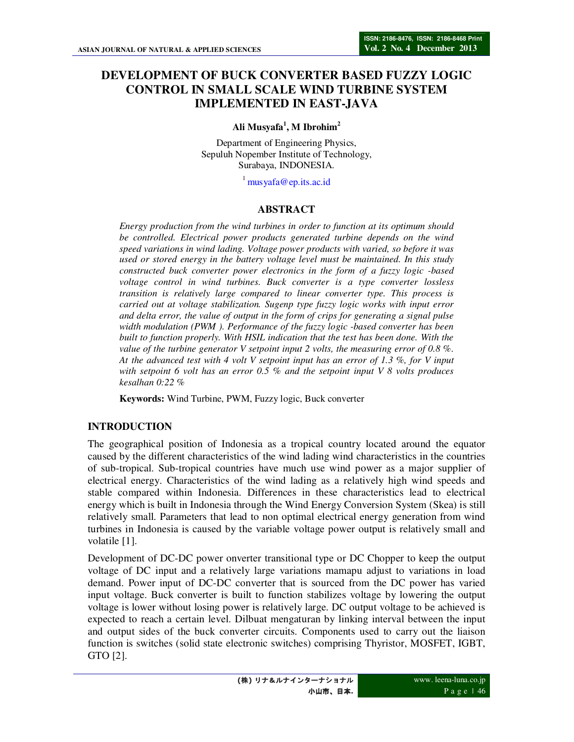# **DEVELOPMENT OF BUCK CONVERTER BASED FUZZY LOGIC CONTROL IN SMALL SCALE WIND TURBINE SYSTEM IMPLEMENTED IN EAST-JAVA**

### **Ali Musyafa<sup>1</sup> , M Ibrohim<sup>2</sup>**

Department of Engineering Physics, Sepuluh Nopember Institute of Technology, Surabaya, INDONESIA.

 $^1$  mus yafa@ep.its.ac.id

#### **ABSTRACT**

*Energy production from the wind turbines in order to function at its optimum should be controlled. Electrical power products generated turbine depends on the wind speed variations in wind lading. Voltage power products with varied, so before it was used or stored energy in the battery voltage level must be maintained. In this study constructed buck converter power electronics in the form of a fuzzy logic -based voltage control in wind turbines. Buck converter is a type converter lossless transition is relatively large compared to linear converter type. This process is carried out at voltage stabilization. Sugenp type fuzzy logic works with input error and delta error, the value of output in the form of crips for generating a signal pulse width modulation (PWM ). Performance of the fuzzy logic -based converter has been built to function properly. With HSIL indication that the test has been done. With the value of the turbine generator V setpoint input 2 volts, the measuring error of 0.8 %. At the advanced test with 4 volt V setpoint input has an error of 1.3 %, for V input with setpoint 6 volt has an error 0.5 % and the setpoint input V 8 volts produces kesalhan 0:22 %* 

**Keywords:** Wind Turbine, PWM, Fuzzy logic, Buck converter

### **INTRODUCTION**

The geographical position of Indonesia as a tropical country located around the equator caused by the different characteristics of the wind lading wind characteristics in the countries of sub-tropical. Sub-tropical countries have much use wind power as a major supplier of electrical energy. Characteristics of the wind lading as a relatively high wind speeds and stable compared within Indonesia. Differences in these characteristics lead to electrical energy which is built in Indonesia through the Wind Energy Conversion System (Skea) is still relatively small. Parameters that lead to non optimal electrical energy generation from wind turbines in Indonesia is caused by the variable voltage power output is relatively small and volatile [1].

Development of DC-DC power onverter transitional type or DC Chopper to keep the output voltage of DC input and a relatively large variations mamapu adjust to variations in load demand. Power input of DC-DC converter that is sourced from the DC power has varied input voltage. Buck converter is built to function stabilizes voltage by lowering the output voltage is lower without losing power is relatively large. DC output voltage to be achieved is expected to reach a certain level. Dilbuat mengaturan by linking interval between the input and output sides of the buck converter circuits. Components used to carry out the liaison function is switches (solid state electronic switches) comprising Thyristor, MOSFET, IGBT, GTO [2].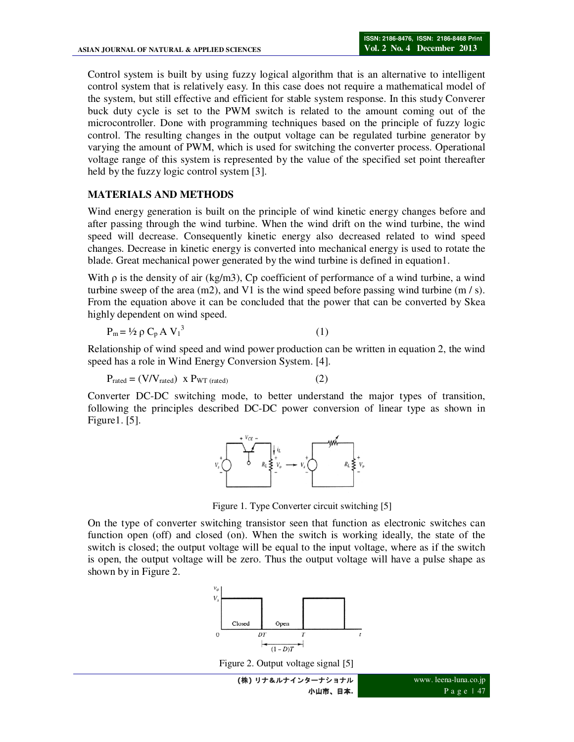Control system is built by using fuzzy logical algorithm that is an alternative to intelligent control system that is relatively easy. In this case does not require a mathematical model of the system, but still effective and efficient for stable system response. In this study Converer buck duty cycle is set to the PWM switch is related to the amount coming out of the microcontroller. Done with programming techniques based on the principle of fuzzy logic control. The resulting changes in the output voltage can be regulated turbine generator by varying the amount of PWM, which is used for switching the converter process. Operational voltage range of this system is represented by the value of the specified set point thereafter held by the fuzzy logic control system [3].

#### **MATERIALS AND METHODS**

Wind energy generation is built on the principle of wind kinetic energy changes before and after passing through the wind turbine. When the wind drift on the wind turbine, the wind speed will decrease. Consequently kinetic energy also decreased related to wind speed changes. Decrease in kinetic energy is converted into mechanical energy is used to rotate the blade. Great mechanical power generated by the wind turbine is defined in equation1.

With  $\rho$  is the density of air (kg/m3), Cp coefficient of performance of a wind turbine, a wind turbine sweep of the area  $(m2)$ , and V1 is the wind speed before passing wind turbine  $(m / s)$ . From the equation above it can be concluded that the power that can be converted by Skea highly dependent on wind speed.

$$
P_m = \frac{1}{2} \rho C_p A V_1^3 \tag{1}
$$

Relationship of wind speed and wind power production can be written in equation 2, the wind speed has a role in Wind Energy Conversion System. [4].

$$
P_{\text{rated}} = (V/V_{\text{rated}}) \, \text{X} \, P_{\text{WT (rated)}}
$$
 (2)

Converter DC-DC switching mode, to better understand the major types of transition, following the principles described DC-DC power conversion of linear type as shown in Figure1. [5].



Figure 1. Type Converter circuit switching [5]

On the type of converter switching transistor seen that function as electronic switches can function open (off) and closed (on). When the switch is working ideally, the state of the switch is closed; the output voltage will be equal to the input voltage, where as if the switch is open, the output voltage will be zero. Thus the output voltage will have a pulse shape as shown by in Figure 2.



Figure 2. Output voltage signal [5]

**(**株**)** リナ&ルナインターナショナル 小山市、日本**.**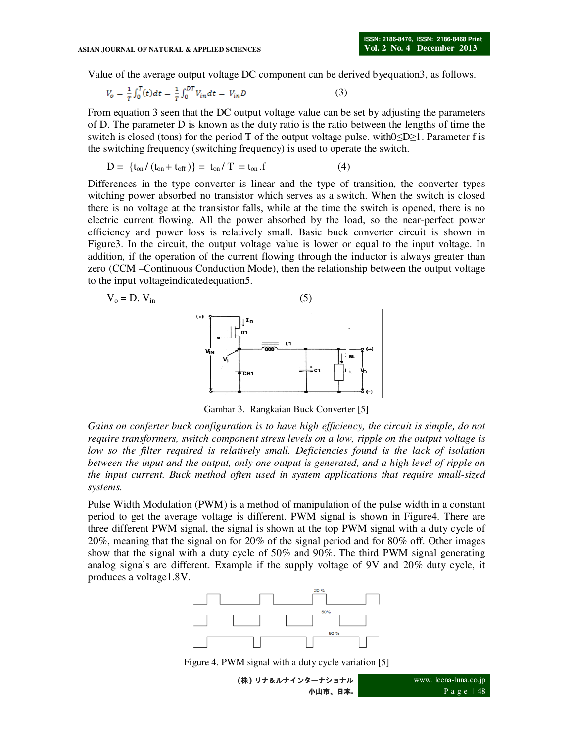Value of the average output voltage DC component can be derived byequation3, as follows.

$$
V_o = \frac{1}{T} \int_0^T (t) dt = \frac{1}{T} \int_0^{DT} V_{in} dt = V_{in} D
$$
 (3)

From equation 3 seen that the DC output voltage value can be set by adjusting the parameters of D. The parameter D is known as the duty ratio is the ratio between the lengths of time the switch is closed (tons) for the period T of the output voltage pulse. with $0 \le D \ge 1$ . Parameter f is the switching frequency (switching frequency) is used to operate the switch.

$$
D = {t_{on} / (t_{on} + t_{off})} = t_{on} / T = t_{on} .f
$$
 (4)

Differences in the type converter is linear and the type of transition, the converter types witching power absorbed no transistor which serves as a switch. When the switch is closed there is no voltage at the transistor falls, while at the time the switch is opened, there is no electric current flowing. All the power absorbed by the load, so the near-perfect power efficiency and power loss is relatively small. Basic buck converter circuit is shown in Figure3. In the circuit, the output voltage value is lower or equal to the input voltage. In addition, if the operation of the current flowing through the inductor is always greater than zero (CCM –Continuous Conduction Mode), then the relationship between the output voltage to the input voltageindicatedequation5.

$$
V_o = D. V_{in}
$$
 (5)



Gambar 3. Rangkaian Buck Converter [5]

*Gains on conferter buck configuration is to have high efficiency, the circuit is simple, do not require transformers, switch component stress levels on a low, ripple on the output voltage is low so the filter required is relatively small. Deficiencies found is the lack of isolation between the input and the output, only one output is generated, and a high level of ripple on the input current. Buck method often used in system applications that require small-sized systems.*

Pulse Width Modulation (PWM) is a method of manipulation of the pulse width in a constant period to get the average voltage is different. PWM signal is shown in Figure4. There are three different PWM signal, the signal is shown at the top PWM signal with a duty cycle of 20%, meaning that the signal on for 20% of the signal period and for 80% off. Other images show that the signal with a duty cycle of 50% and 90%. The third PWM signal generating analog signals are different. Example if the supply voltage of 9V and 20% duty cycle, it produces a voltage1.8V.



Figure 4. PWM signal with a duty cycle variation [5]

**(**株**)** リナ&ルナインターナショナル 小山市、日本**.**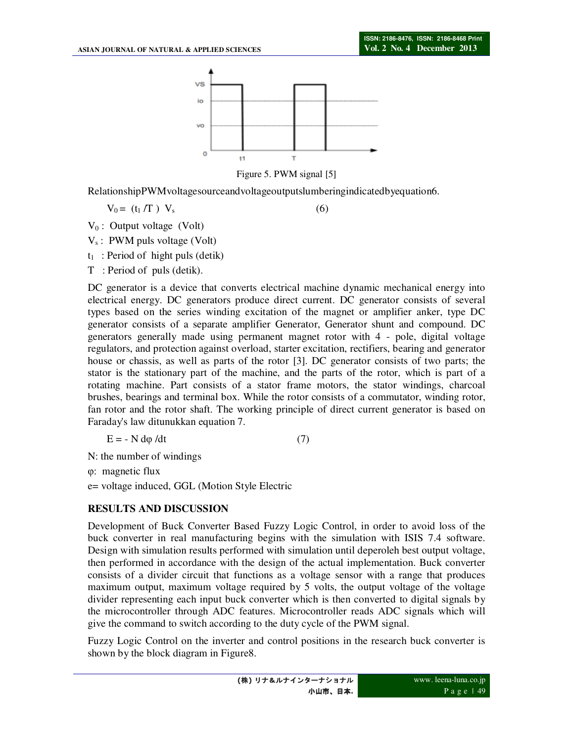

Figure 5. PWM signal [5]

RelationshipPWMvoltagesourceandvoltageoutputslumberingindicatedbyequation6.

 $V_0 = (t_1/T) V_s$  (6)

 $V_0$ : Output voltage (Volt)

 $V_s$ : PWM puls voltage (Volt)

 $t_1$ : Period of hight puls (detik)

T : Period of puls (detik).

DC generator is a device that converts electrical machine dynamic mechanical energy into electrical energy. DC generators produce direct current. DC generator consists of several types based on the series winding excitation of the magnet or amplifier anker, type DC generator consists of a separate amplifier Generator, Generator shunt and compound. DC generators generally made using permanent magnet rotor with 4 - pole, digital voltage regulators, and protection against overload, starter excitation, rectifiers, bearing and generator house or chassis, as well as parts of the rotor [3]. DC generator consists of two parts; the stator is the stationary part of the machine, and the parts of the rotor, which is part of a rotating machine. Part consists of a stator frame motors, the stator windings, charcoal brushes, bearings and terminal box. While the rotor consists of a commutator, winding rotor, fan rotor and the rotor shaft. The working principle of direct current generator is based on Faraday's law ditunukkan equation 7.

$$
E = -N d\varphi/dt \tag{7}
$$

N: the number of windings

φ: magnetic flux

e= voltage induced, GGL (Motion Style Electric

#### **RESULTS AND DISCUSSION**

Development of Buck Converter Based Fuzzy Logic Control, in order to avoid loss of the buck converter in real manufacturing begins with the simulation with ISIS 7.4 software. Design with simulation results performed with simulation until deperoleh best output voltage, then performed in accordance with the design of the actual implementation. Buck converter consists of a divider circuit that functions as a voltage sensor with a range that produces maximum output, maximum voltage required by 5 volts, the output voltage of the voltage divider representing each input buck converter which is then converted to digital signals by the microcontroller through ADC features. Microcontroller reads ADC signals which will give the command to switch according to the duty cycle of the PWM signal.

Fuzzy Logic Control on the inverter and control positions in the research buck converter is shown by the block diagram in Figure8.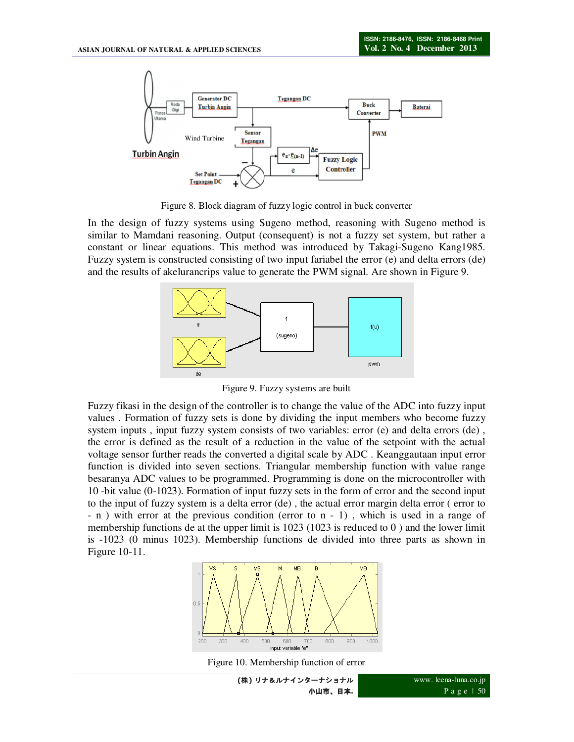

Figure 8. Block diagram of fuzzy logic control in buck converter

In the design of fuzzy systems using Sugeno method, reasoning with Sugeno method is similar to Mamdani reasoning. Output (consequent) is not a fuzzy set system, but rather a constant or linear equations. This method was introduced by Takagi-Sugeno Kang1985. Fuzzy system is constructed consisting of two input fariabel the error (e) and delta errors (de) and the results of akelurancrips value to generate the PWM signal. Are shown in Figure 9.



Figure 9. Fuzzy systems are built

Fuzzy fikasi in the design of the controller is to change the value of the ADC into fuzzy input values . Formation of fuzzy sets is done by dividing the input members who become fuzzy system inputs , input fuzzy system consists of two variables: error (e) and delta errors (de) , the error is defined as the result of a reduction in the value of the setpoint with the actual voltage sensor further reads the converted a digital scale by ADC . Keanggautaan input error function is divided into seven sections. Triangular membership function with value range besaranya ADC values to be programmed. Programming is done on the microcontroller with 10 -bit value (0-1023). Formation of input fuzzy sets in the form of error and the second input to the input of fuzzy system is a delta error (de) , the actual error margin delta error ( error to - n ) with error at the previous condition (error to n - 1) , which is used in a range of membership functions de at the upper limit is  $1023$  ( $1023$  is reduced to 0) and the lower limit is -1023 (0 minus 1023). Membership functions de divided into three parts as shown in Figure 10-11.



Figure 10. Membership function of error

**(**株**)** リナ&ルナインターナショナル 小山市、日本**.**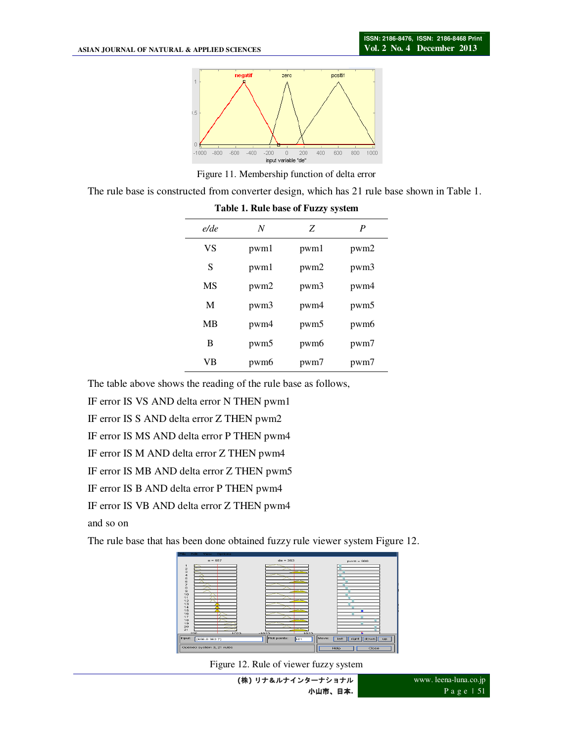

Figure 11. Membership function of delta error

The rule base is constructed from converter design, which has 21 rule base shown in Table 1.

| e/de | N    | Z                | P                |
|------|------|------------------|------------------|
| VS   | pwm1 | pwm1             | pwm <sub>2</sub> |
| S    | pwm1 | pwm <sub>2</sub> | pwm3             |
| MS   | pwm2 | pwm3             | pwm4             |
| M    | pwm3 | pwm4             | pwm5             |
| MB   | pwm4 | pwm <sub>5</sub> | pwm <sub>6</sub> |
| B    | pwm5 | pwm <sub>6</sub> | pwm7             |
| VB   | pwm6 | pwm7             | pwm7             |

**Table 1. Rule base of Fuzzy system** 

The table above shows the reading of the rule base as follows,

IF error IS VS AND delta error N THEN pwm1

IF error IS S AND delta error Z THEN pwm2

IF error IS MS AND delta error P THEN pwm4

IF error IS M AND delta error Z THEN pwm4

IF error IS MB AND delta error Z THEN pwm5

IF error IS B AND delta error P THEN pwm4

IF error IS VB AND delta error Z THEN pwm4

and so on

The rule base that has been done obtained fuzzy rule viewer system Figure 12.



Figure 12. Rule of viewer fuzzy system

**(**株**)** リナ&ルナインターナショナル 小山市、日本**.**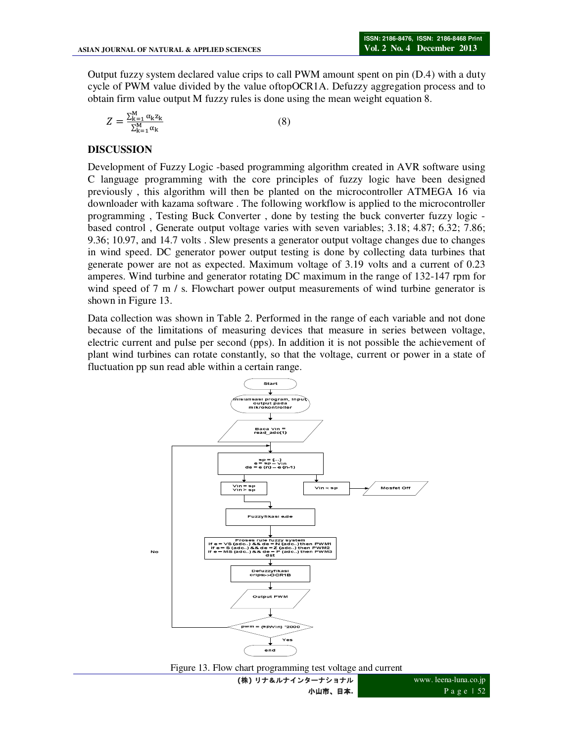Output fuzzy system declared value crips to call PWM amount spent on pin (D.4) with a duty cycle of PWM value divided by the value oftopOCR1A. Defuzzy aggregation process and to obtain firm value output M fuzzy rules is done using the mean weight equation 8.

$$
Z = \frac{\sum_{k=1}^{M} \alpha_k z_k}{\sum_{k=1}^{M} \alpha_k} \tag{8}
$$

# **DISCUSSION**

Development of Fuzzy Logic -based programming algorithm created in AVR software using C language programming with the core principles of fuzzy logic have been designed previously , this algorithm will then be planted on the microcontroller ATMEGA 16 via downloader with kazama software . The following workflow is applied to the microcontroller programming , Testing Buck Converter , done by testing the buck converter fuzzy logic based control , Generate output voltage varies with seven variables; 3.18; 4.87; 6.32; 7.86; 9.36; 10.97, and 14.7 volts . Slew presents a generator output voltage changes due to changes in wind speed. DC generator power output testing is done by collecting data turbines that generate power are not as expected. Maximum voltage of 3.19 volts and a current of 0.23 amperes. Wind turbine and generator rotating DC maximum in the range of 132-147 rpm for wind speed of 7 m / s. Flowchart power output measurements of wind turbine generator is shown in Figure 13.

Data collection was shown in Table 2. Performed in the range of each variable and not done because of the limitations of measuring devices that measure in series between voltage, electric current and pulse per second (pps). In addition it is not possible the achievement of plant wind turbines can rotate constantly, so that the voltage, current or power in a state of fluctuation pp sun read able within a certain range.



Figure 13. Flow chart programming test voltage and current

**(**株**)** リナ&ルナインターナショナル 小山市、日本**.**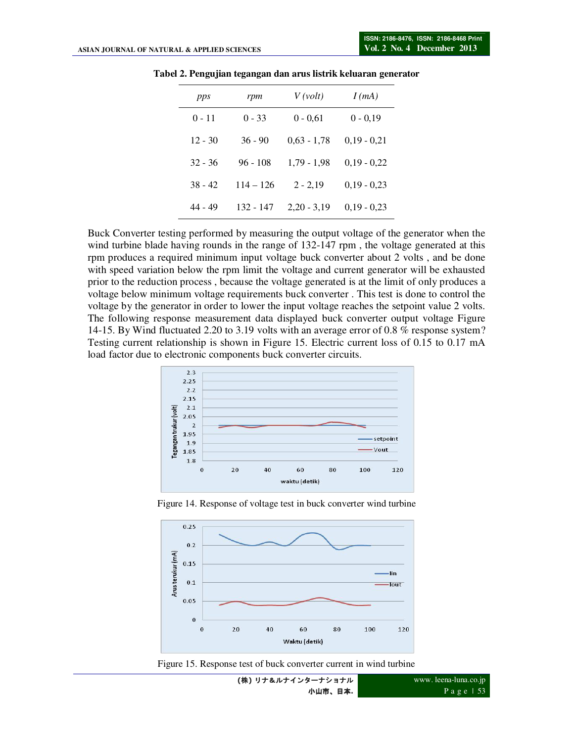| pps       | rpm         | V(volt)       | I(mA)         |
|-----------|-------------|---------------|---------------|
| $0 - 11$  | $0 - 33$    | $0 - 0.61$    | $0 - 0.19$    |
| $12 - 30$ | $36 - 90$   | $0,63 - 1,78$ | $0,19 - 0,21$ |
| $32 - 36$ | $96 - 108$  | $1,79 - 1,98$ | $0,19 - 0,22$ |
| $38 - 42$ | $114 - 126$ | $2 - 2,19$    | $0,19 - 0,23$ |
| 44 - 49   | 132 - 147   | $2,20 - 3,19$ | $0,19 - 0,23$ |

**Tabel 2. Pengujian tegangan dan arus listrik keluaran generator** 

Buck Converter testing performed by measuring the output voltage of the generator when the wind turbine blade having rounds in the range of 132-147 rpm, the voltage generated at this rpm produces a required minimum input voltage buck converter about 2 volts , and be done with speed variation below the rpm limit the voltage and current generator will be exhausted prior to the reduction process , because the voltage generated is at the limit of only produces a voltage below minimum voltage requirements buck converter . This test is done to control the voltage by the generator in order to lower the input voltage reaches the setpoint value 2 volts. The following response measurement data displayed buck converter output voltage Figure 14-15. By Wind fluctuated 2.20 to 3.19 volts with an average error of 0.8 % response system? Testing current relationship is shown in Figure 15. Electric current loss of 0.15 to 0.17 mA load factor due to electronic components buck converter circuits.



Figure 14. Response of voltage test in buck converter wind turbine



Figure 15. Response test of buck converter current in wind turbine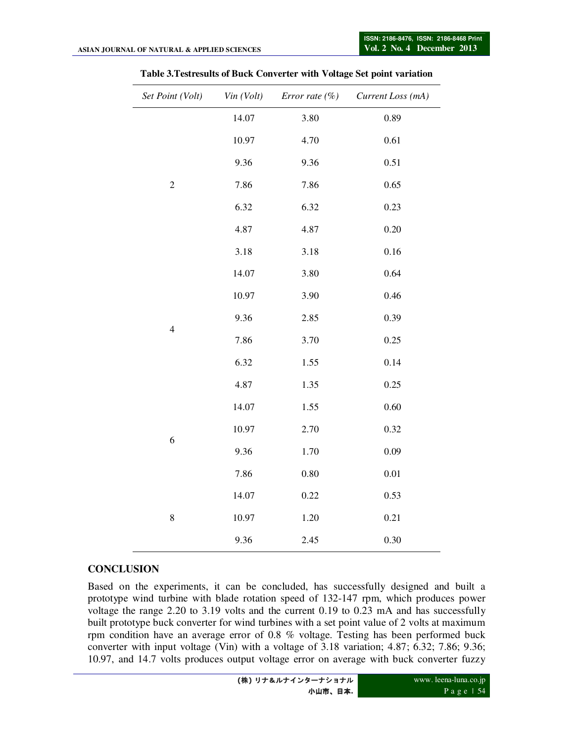| Set Point (Volt) | Vin (Volt) | Error rate $(\%)$ | Current Loss (mA) |
|------------------|------------|-------------------|-------------------|
|                  | 14.07      | 3.80              | 0.89              |
|                  | 10.97      | 4.70              | 0.61              |
|                  | 9.36       | 9.36              | 0.51              |
| $\overline{c}$   | 7.86       | 7.86              | 0.65              |
|                  | 6.32       | 6.32              | 0.23              |
|                  | 4.87       | 4.87              | 0.20              |
|                  | 3.18       | 3.18              | 0.16              |
|                  | 14.07      | 3.80              | 0.64              |
|                  | 10.97      | 3.90              | 0.46              |
|                  | 9.36       | 2.85              | 0.39              |
| $\overline{4}$   | 7.86       | 3.70              | 0.25              |
|                  | 6.32       | 1.55              | 0.14              |
|                  | 4.87       | 1.35              | 0.25              |
|                  | 14.07      | 1.55              | 0.60              |
|                  | 10.97      | 2.70              | 0.32              |
| 6                | 9.36       | 1.70              | 0.09              |
|                  | 7.86       | 0.80              | $0.01\,$          |
|                  | 14.07      | 0.22              | 0.53              |
| $\,$ $\,$        | 10.97      | 1.20              | 0.21              |
|                  | 9.36       | 2.45              | 0.30              |

#### **Table 3.Testresults of Buck Converter with Voltage Set point variation**

# **CONCLUSION**

Based on the experiments, it can be concluded, has successfully designed and built a prototype wind turbine with blade rotation speed of 132-147 rpm, which produces power voltage the range 2.20 to 3.19 volts and the current 0.19 to 0.23 mA and has successfully built prototype buck converter for wind turbines with a set point value of 2 volts at maximum rpm condition have an average error of 0.8 % voltage. Testing has been performed buck converter with input voltage (Vin) with a voltage of 3.18 variation; 4.87; 6.32; 7.86; 9.36; 10.97, and 14.7 volts produces output voltage error on average with buck converter fuzzy